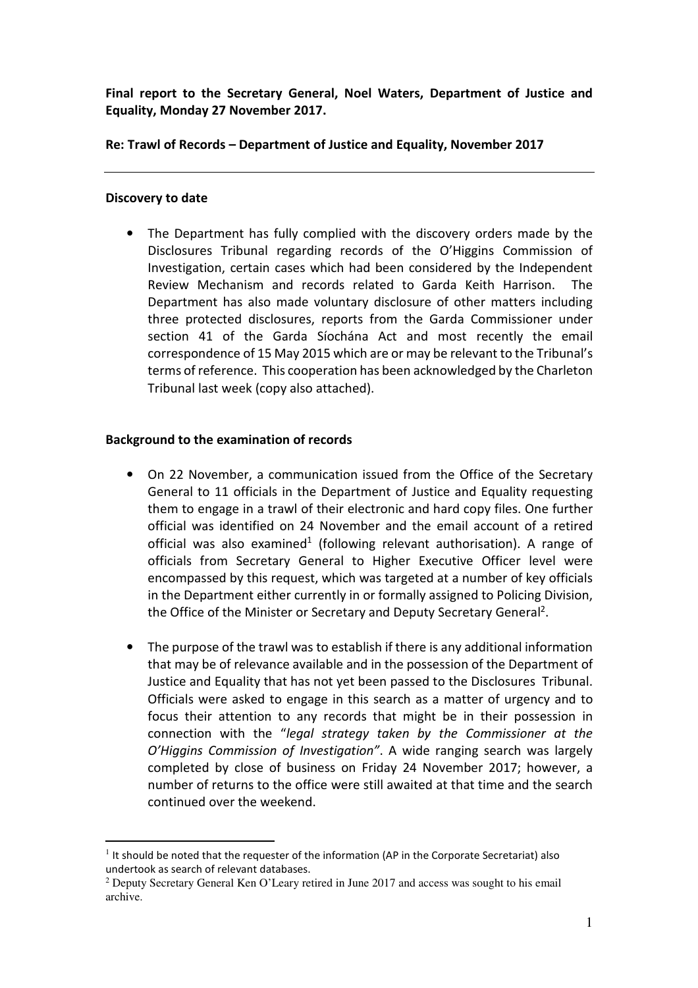Final report to the Secretary General, Noel Waters, Department of Justice and Equality, Monday 27 November 2017.

Re: Trawl of Records – Department of Justice and Equality, November 2017

### Discovery to date

The Department has fully complied with the discovery orders made by the Disclosures Tribunal regarding records of the O'Higgins Commission of Investigation, certain cases which had been considered by the Independent Review Mechanism and records related to Garda Keith Harrison. The Department has also made voluntary disclosure of other matters including three protected disclosures, reports from the Garda Commissioner under section 41 of the Garda Síochána Act and most recently the email correspondence of 15 May 2015 which are or may be relevant to the Tribunal's terms of reference. This cooperation has been acknowledged by the Charleton Tribunal last week (copy also attached).

## Background to the examination of records

- On 22 November, a communication issued from the Office of the Secretary General to 11 officials in the Department of Justice and Equality requesting them to engage in a trawl of their electronic and hard copy files. One further official was identified on 24 November and the email account of a retired official was also examined<sup>1</sup> (following relevant authorisation). A range of officials from Secretary General to Higher Executive Officer level were encompassed by this request, which was targeted at a number of key officials in the Department either currently in or formally assigned to Policing Division, the Office of the Minister or Secretary and Deputy Secretary General<sup>2</sup>.
- The purpose of the trawl was to establish if there is any additional information that may be of relevance available and in the possession of the Department of Justice and Equality that has not yet been passed to the Disclosures Tribunal. Officials were asked to engage in this search as a matter of urgency and to focus their attention to any records that might be in their possession in connection with the "legal strategy taken by the Commissioner at the O'Higgins Commission of Investigation". A wide ranging search was largely completed by close of business on Friday 24 November 2017; however, a number of returns to the office were still awaited at that time and the search continued over the weekend.

 $\overline{a}$ <sup>1</sup> It should be noted that the requester of the information (AP in the Corporate Secretariat) also undertook as search of relevant databases.

<sup>&</sup>lt;sup>2</sup> Deputy Secretary General Ken O'Leary retired in June 2017 and access was sought to his email archive.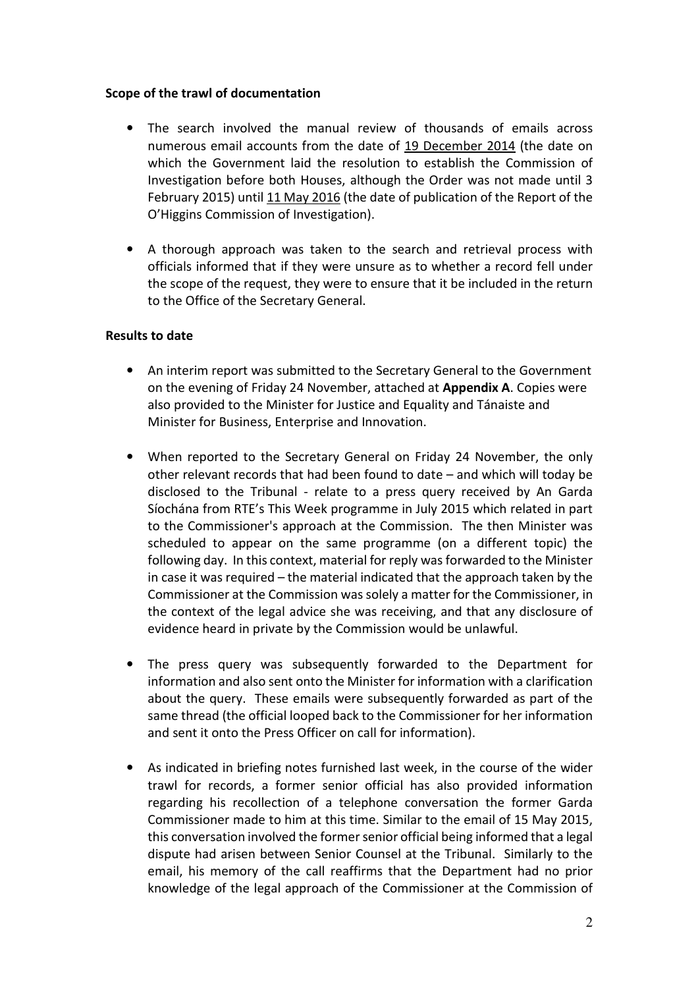### Scope of the trawl of documentation

- The search involved the manual review of thousands of emails across numerous email accounts from the date of 19 December 2014 (the date on which the Government laid the resolution to establish the Commission of Investigation before both Houses, although the Order was not made until 3 February 2015) until 11 May 2016 (the date of publication of the Report of the O'Higgins Commission of Investigation).
- A thorough approach was taken to the search and retrieval process with officials informed that if they were unsure as to whether a record fell under the scope of the request, they were to ensure that it be included in the return to the Office of the Secretary General.

## Results to date

- An interim report was submitted to the Secretary General to the Government on the evening of Friday 24 November, attached at Appendix A. Copies were also provided to the Minister for Justice and Equality and Tánaiste and Minister for Business, Enterprise and Innovation.
- When reported to the Secretary General on Friday 24 November, the only other relevant records that had been found to date – and which will today be disclosed to the Tribunal - relate to a press query received by An Garda Síochána from RTE's This Week programme in July 2015 which related in part to the Commissioner's approach at the Commission. The then Minister was scheduled to appear on the same programme (on a different topic) the following day. In this context, material for reply was forwarded to the Minister in case it was required – the material indicated that the approach taken by the Commissioner at the Commission was solely a matter for the Commissioner, in the context of the legal advice she was receiving, and that any disclosure of evidence heard in private by the Commission would be unlawful.
- The press query was subsequently forwarded to the Department for information and also sent onto the Minister for information with a clarification about the query. These emails were subsequently forwarded as part of the same thread (the official looped back to the Commissioner for her information and sent it onto the Press Officer on call for information).
- As indicated in briefing notes furnished last week, in the course of the wider trawl for records, a former senior official has also provided information regarding his recollection of a telephone conversation the former Garda Commissioner made to him at this time. Similar to the email of 15 May 2015, this conversation involved the former senior official being informed that a legal dispute had arisen between Senior Counsel at the Tribunal. Similarly to the email, his memory of the call reaffirms that the Department had no prior knowledge of the legal approach of the Commissioner at the Commission of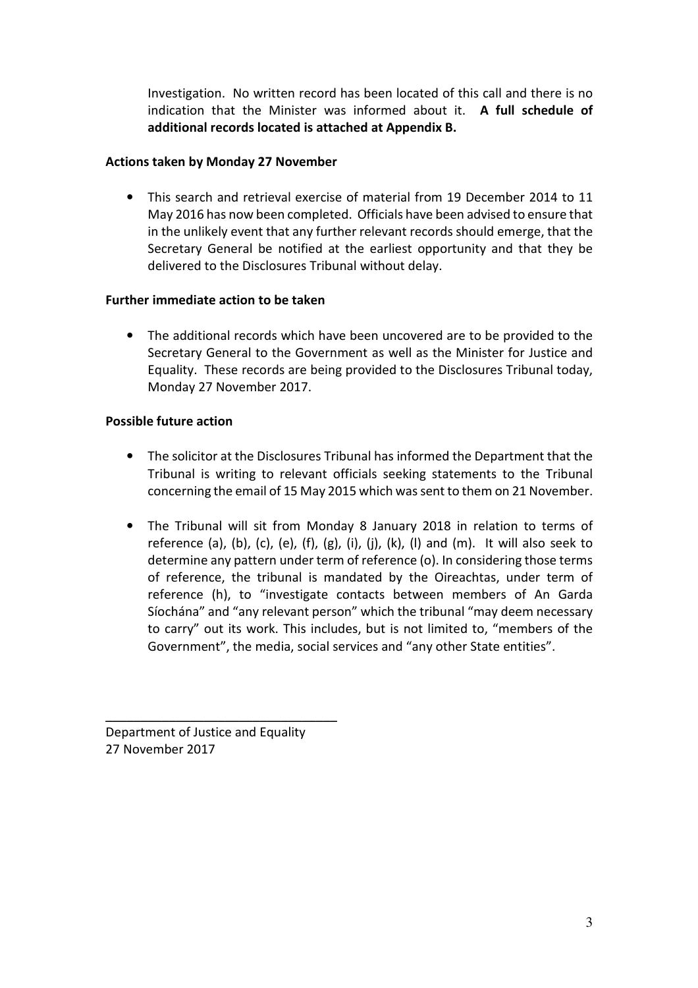Investigation. No written record has been located of this call and there is no indication that the Minister was informed about it. A full schedule of additional records located is attached at Appendix B.

# Actions taken by Monday 27 November

• This search and retrieval exercise of material from 19 December 2014 to 11 May 2016 has now been completed. Officials have been advised to ensure that in the unlikely event that any further relevant records should emerge, that the Secretary General be notified at the earliest opportunity and that they be delivered to the Disclosures Tribunal without delay.

## Further immediate action to be taken

• The additional records which have been uncovered are to be provided to the Secretary General to the Government as well as the Minister for Justice and Equality. These records are being provided to the Disclosures Tribunal today, Monday 27 November 2017.

## Possible future action

- The solicitor at the Disclosures Tribunal has informed the Department that the Tribunal is writing to relevant officials seeking statements to the Tribunal concerning the email of 15 May 2015 which was sent to them on 21 November.
- The Tribunal will sit from Monday 8 January 2018 in relation to terms of reference (a), (b), (c), (e), (f), (g), (i), (j), (k), (l) and (m). It will also seek to determine any pattern under term of reference (o). In considering those terms of reference, the tribunal is mandated by the Oireachtas, under term of reference (h), to "investigate contacts between members of An Garda Síochána" and "any relevant person" which the tribunal "may deem necessary to carry" out its work. This includes, but is not limited to, "members of the Government", the media, social services and "any other State entities".

Department of Justice and Equality 27 November 2017

\_\_\_\_\_\_\_\_\_\_\_\_\_\_\_\_\_\_\_\_\_\_\_\_\_\_\_\_\_\_\_\_\_